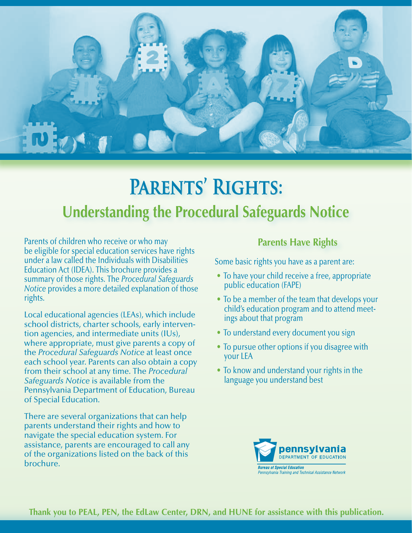

# **Parents' Rights: Understanding the Procedural Safeguards Notice**

Parents of children who receive or who may be eligible for special education services have rights under a law called the Individuals with Disabilities Education Act (IDEA). This brochure provides a summary of those rights. The *Procedural Safeguards Notice* provides a more detailed explanation of those rights.

Local educational agencies (LEAs), which include school districts, charter schools, early intervention agencies, and intermediate units (IUs), where appropriate, must give parents a copy of the *Procedural Safeguards Notice* at least once each school year. Parents can also obtain a copy from their school at any time. The *Procedural Safeguards Notice* is available from the Pennsylvania Department of Education, Bureau of Special Education.

There are several organizations that can help parents understand their rights and how to navigate the special education system. For assistance, parents are encouraged to call any of the organizations listed on the back of this brochure.

# **Parents Have Rights**

Some basic rights you have as a parent are:

- To have your child receive a free, appropriate public education (FAPE)
- To be a member of the team that develops your child's education program and to attend meetings about that program
- To understand every document you sign
- To pursue other options if you disagree with your LEA
- To know and understand your rights in the language you understand best

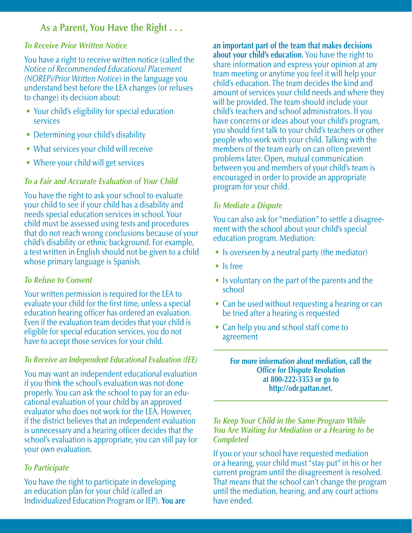# **As a Parent, You Have the Right . . .**

#### *To Receive Prior Written Notice*

You have a right to receive written notice (called the *Notice of Recommended Educational Placement (NOREP)/Prior Written Notice*) in the language you understand best before the LEA changes (or refuses to change) its decision about:

- Your child's eligibility for special education services
- Determining your child's disability
- What services your child will receive
- Where your child will get services

#### *To a Fair and Accurate Evaluation of Your Child*

You have the right to ask your school to evaluate your child to see if your child has a disability and needs special education services in school. Your child must be assessed using tests and procedures that do not reach wrong conclusions because of your child's disability or ethnic background. For example, a test written in English should not be given to a child whose primary language is Spanish.

#### *To Refuse to Consent*

Your written permission is required for the LEA to evaluate your child for the first time, unless a special education hearing officer has ordered an evaluation. Even if the evaluation team decides that your child is eligible for special education services, you do not have to accept those services for your child.

#### *To Receive an Independent Educational Evaluation (IEE)*

You may want an independent educational evaluation if you think the school's evaluation was not done properly. You can ask the school to pay for an educational evaluation of your child by an approved evaluator who does not work for the LEA. However, if the district believes that an independent evaluation is unnecessary and a hearing officer decides that the school's evaluation is appropriate, you can still pay for your own evaluation.

#### *To Participate*

You have the right to participate in developing an education plan for your child (called an Individualized Education Program or IEP). **You are** **an important part of the team that makes decisions about your child's education**. You have the right to share information and express your opinion at any team meeting or anytime you feel it will help your child's education. The team decides the kind and amount of services your child needs and where they will be provided. The team should include your child's teachers and school administrators. If you have concerns or ideas about your child's program, you should first talk to your child's teachers or other people who work with your child. Talking with the members of the team early on can often prevent problems later. Open, mutual communication between you and members of your child's team is encouraged in order to provide an appropriate program for your child.

#### *To Mediate a Dispute*

You can also ask for "mediation" to settle a disagreement with the school about your child's special education program. Mediation:

- Is overseen by a neutral party (the mediator)
- Is free
- Is voluntary on the part of the parents and the school
- Can be used without requesting a hearing or can be tried after a hearing is requested
- Can help you and school staff come to agreement

**For more information about mediation, call the Office for Dispute Resolution at 800-222-3353 or go to http://odr.pattan.net.**

#### *To Keep Your Child in the Same Program While You Are Waiting for Mediation or a Hearing to be Completed*

If you or your school have requested mediation or a hearing, your child must "stay put" in his or her current program until the disagreement is resolved. That means that the school can't change the program until the mediation, hearing, and any court actions have ended.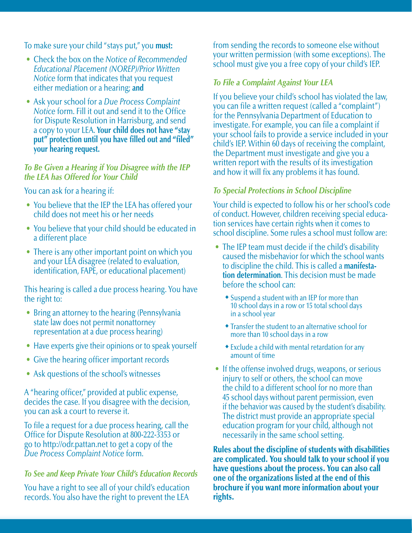To make sure your child "stays put," you **must:**

- Check the box on the *Notice of Recommended Educational Placement (NOREP)/Prior Written Notice* form that indicates that you request either mediation or a hearing; **and**
- Ask your school for a *Due Process Complaint Notice* form. Fill it out and send it to the Office for Dispute Resolution in Harrisburg, and send a copy to your LEA. **Your child does not have "stay put" protection until you have filled out and "filed" your hearing request.**

## *To Be Given a Hearing if You Disagree with the IEP the LEA has Offered for Your Child*

You can ask for a hearing if:

- You believe that the IEP the LEA has offered your child does not meet his or her needs
- You believe that your child should be educated in a different place
- There is any other important point on which you and your LEA disagree (related to evaluation, identification, FAPE, or educational placement)

This hearing is called a due process hearing. You have the right to:

- Bring an attorney to the hearing (Pennsylvania) state law does not permit nonattorney representation at a due process hearing)
- Have experts give their opinions or to speak yourself
- Give the hearing officer important records
- Ask questions of the school's witnesses

A "hearing officer," provided at public expense, decides the case. If you disagree with the decision, you can ask a court to reverse it.

To file a request for a due process hearing, call the Office for Dispute Resolution at 800-222-3353 or go to http://odr.pattan.net to get a copy of the *Due Process Complaint Notice* form.

# *To See and Keep Private Your Child's Education Records*

You have a right to see all of your child's education records. You also have the right to prevent the LEA

from sending the records to someone else without your written permission (with some exceptions). The school must give you a free copy of your child's IEP.

# *To File a Complaint Against Your LEA*

If you believe your child's school has violated the law, you can file a written request (called a "complaint") for the Pennsylvania Department of Education to investigate. For example, you can file a complaint if your school fails to provide a service included in your child's IEP. Within 60 days of receiving the complaint, the Department must investigate and give you a written report with the results of its investigation and how it will fix any problems it has found.

# *To Special Protections in School Discipline*

Your child is expected to follow his or her school's code of conduct. However, children receiving special education services have certain rights when it comes to school discipline. Some rules a school must follow are:

- The IEP team must decide if the child's disability caused the misbehavior for which the school wants to discipline the child. This is called a **manifestation determination**. This decision must be made before the school can:
	- **\*** Suspend a student with an IEP for more than 10 school days in a row or 15 total school days in a school year
	- $\bullet$  Transfer the student to an alternative school for more than 10 school days in a row
	- $\bullet$  Exclude a child with mental retardation for any amount of time
- If the offense involved drugs, weapons, or serious injury to self or others, the school can move the child to a different school for no more than 45 school days without parent permission, even if the behavior was caused by the student's disability. The district must provide an appropriate special education program for your child, although not necessarily in the same school setting.

Rules about the discipline of students with disabilities are complicated. You should talk to your school if you have questions about the process. You can also call one of the organizations listed at the end of this brochure if you want more information about your rights.